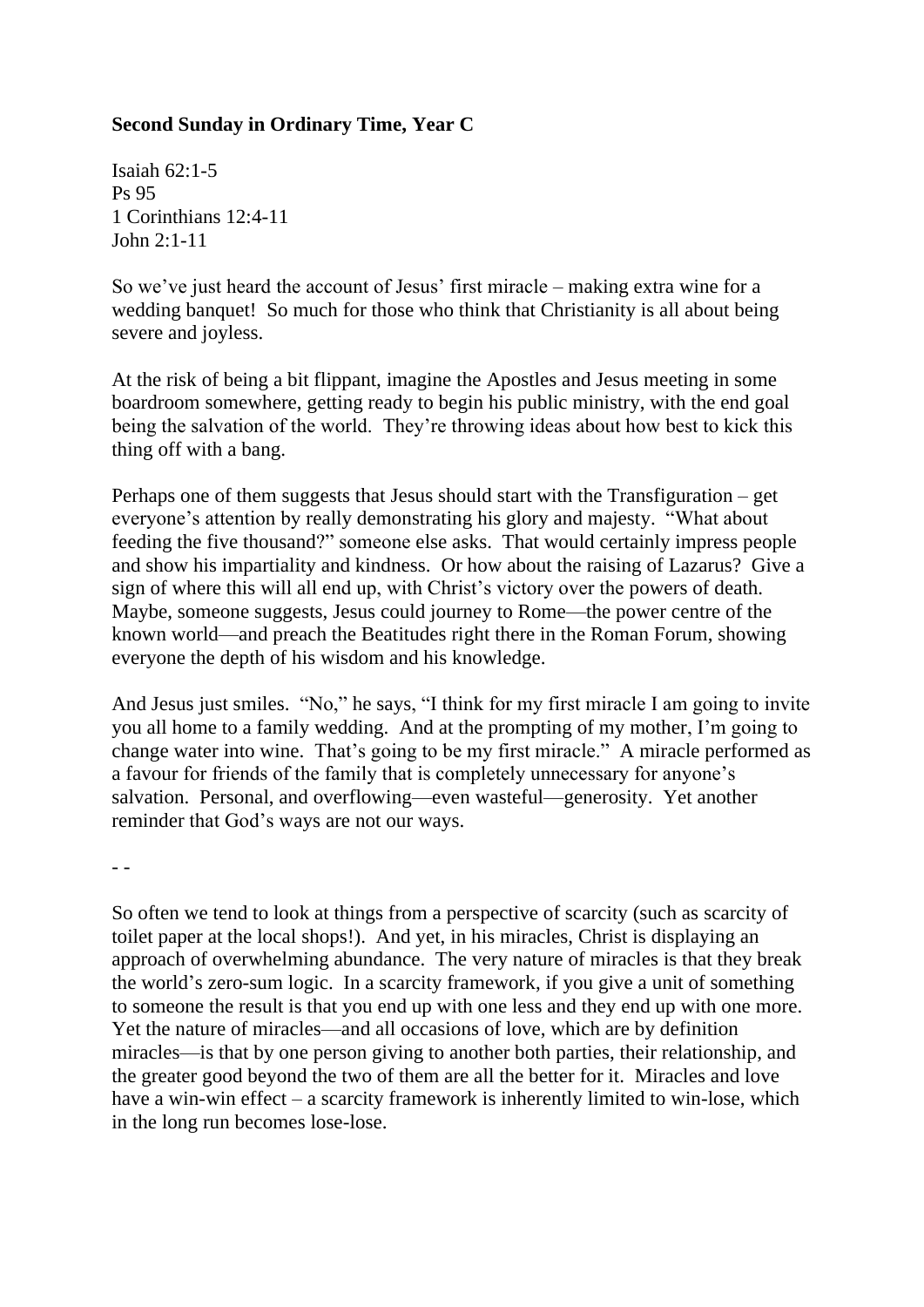## **Second Sunday in Ordinary Time, Year C**

Isaiah 62:1-5 Ps 95 1 Corinthians 12:4-11 John 2:1-11

So we've just heard the account of Jesus' first miracle – making extra wine for a wedding banquet! So much for those who think that Christianity is all about being severe and joyless.

At the risk of being a bit flippant, imagine the Apostles and Jesus meeting in some boardroom somewhere, getting ready to begin his public ministry, with the end goal being the salvation of the world. They're throwing ideas about how best to kick this thing off with a bang.

Perhaps one of them suggests that Jesus should start with the Transfiguration – get everyone's attention by really demonstrating his glory and majesty. "What about feeding the five thousand?" someone else asks. That would certainly impress people and show his impartiality and kindness. Or how about the raising of Lazarus? Give a sign of where this will all end up, with Christ's victory over the powers of death. Maybe, someone suggests, Jesus could journey to Rome—the power centre of the known world—and preach the Beatitudes right there in the Roman Forum, showing everyone the depth of his wisdom and his knowledge.

And Jesus just smiles. "No," he says, "I think for my first miracle I am going to invite you all home to a family wedding. And at the prompting of my mother, I'm going to change water into wine. That's going to be my first miracle." A miracle performed as a favour for friends of the family that is completely unnecessary for anyone's salvation. Personal, and overflowing—even wasteful—generosity. Yet another reminder that God's ways are not our ways.

- -

So often we tend to look at things from a perspective of scarcity (such as scarcity of toilet paper at the local shops!). And yet, in his miracles, Christ is displaying an approach of overwhelming abundance. The very nature of miracles is that they break the world's zero-sum logic. In a scarcity framework, if you give a unit of something to someone the result is that you end up with one less and they end up with one more. Yet the nature of miracles—and all occasions of love, which are by definition miracles—is that by one person giving to another both parties, their relationship, and the greater good beyond the two of them are all the better for it. Miracles and love have a win-win effect – a scarcity framework is inherently limited to win-lose, which in the long run becomes lose-lose.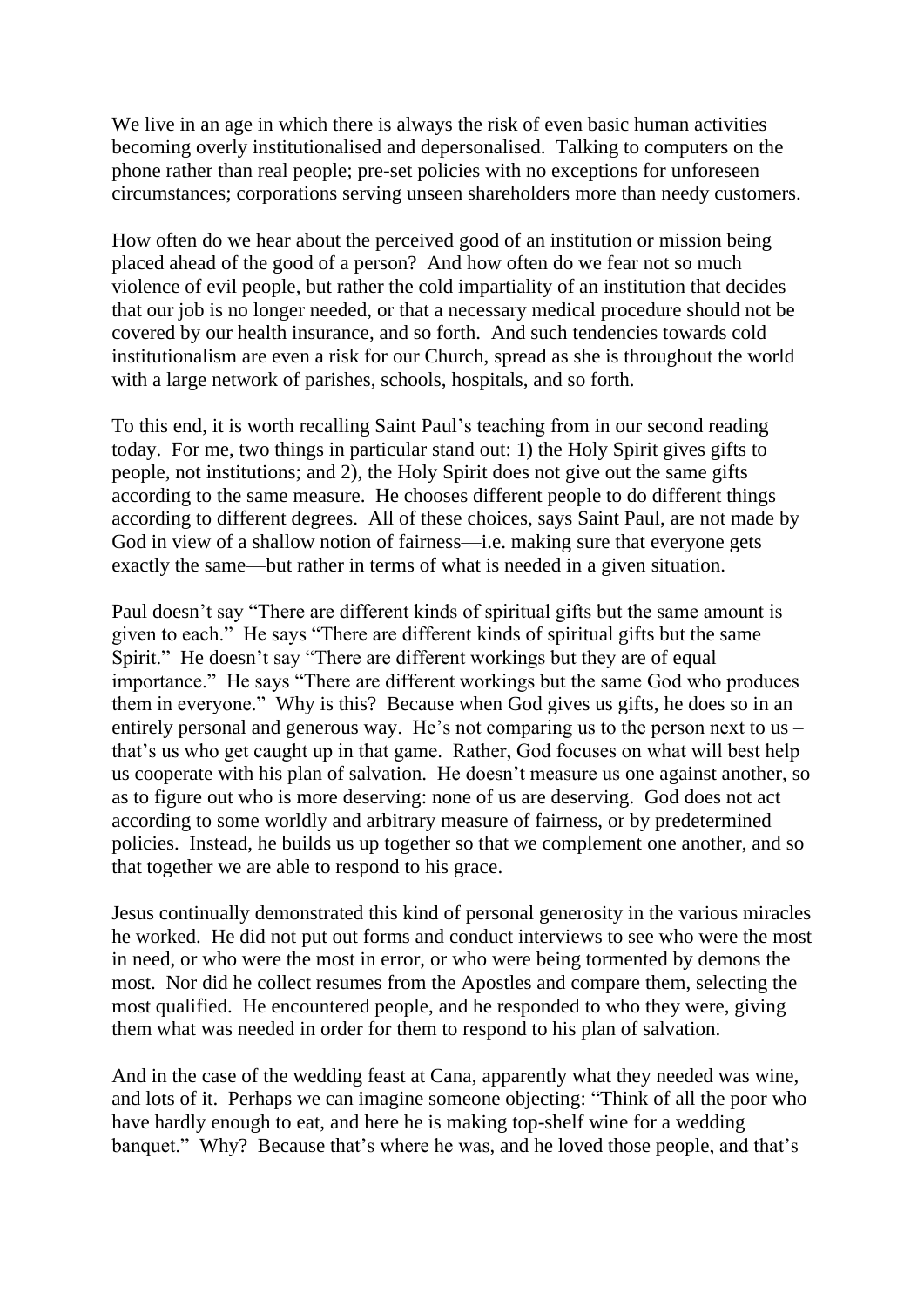We live in an age in which there is always the risk of even basic human activities becoming overly institutionalised and depersonalised. Talking to computers on the phone rather than real people; pre-set policies with no exceptions for unforeseen circumstances; corporations serving unseen shareholders more than needy customers.

How often do we hear about the perceived good of an institution or mission being placed ahead of the good of a person? And how often do we fear not so much violence of evil people, but rather the cold impartiality of an institution that decides that our job is no longer needed, or that a necessary medical procedure should not be covered by our health insurance, and so forth. And such tendencies towards cold institutionalism are even a risk for our Church, spread as she is throughout the world with a large network of parishes, schools, hospitals, and so forth.

To this end, it is worth recalling Saint Paul's teaching from in our second reading today. For me, two things in particular stand out: 1) the Holy Spirit gives gifts to people, not institutions; and 2), the Holy Spirit does not give out the same gifts according to the same measure. He chooses different people to do different things according to different degrees. All of these choices, says Saint Paul, are not made by God in view of a shallow notion of fairness—i.e. making sure that everyone gets exactly the same—but rather in terms of what is needed in a given situation.

Paul doesn't say "There are different kinds of spiritual gifts but the same amount is given to each." He says "There are different kinds of spiritual gifts but the same Spirit." He doesn't say "There are different workings but they are of equal importance." He says "There are different workings but the same God who produces them in everyone." Why is this? Because when God gives us gifts, he does so in an entirely personal and generous way. He's not comparing us to the person next to us – that's us who get caught up in that game. Rather, God focuses on what will best help us cooperate with his plan of salvation. He doesn't measure us one against another, so as to figure out who is more deserving: none of us are deserving. God does not act according to some worldly and arbitrary measure of fairness, or by predetermined policies. Instead, he builds us up together so that we complement one another, and so that together we are able to respond to his grace.

Jesus continually demonstrated this kind of personal generosity in the various miracles he worked. He did not put out forms and conduct interviews to see who were the most in need, or who were the most in error, or who were being tormented by demons the most. Nor did he collect resumes from the Apostles and compare them, selecting the most qualified. He encountered people, and he responded to who they were, giving them what was needed in order for them to respond to his plan of salvation.

And in the case of the wedding feast at Cana, apparently what they needed was wine, and lots of it. Perhaps we can imagine someone objecting: "Think of all the poor who have hardly enough to eat, and here he is making top-shelf wine for a wedding banquet." Why? Because that's where he was, and he loved those people, and that's